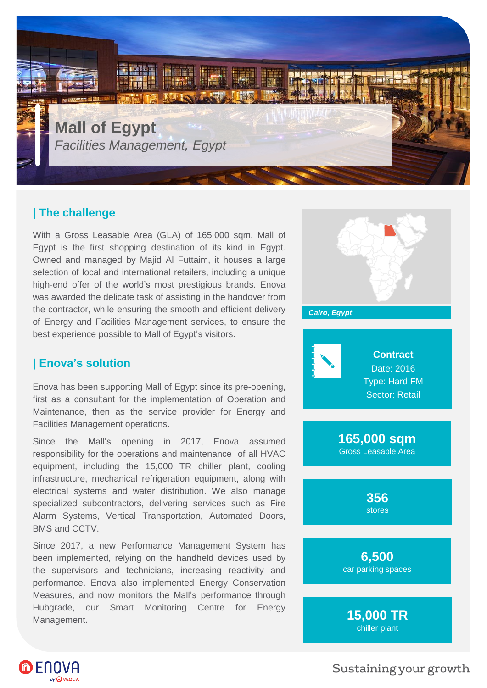

## **| The challenge**

With a Gross Leasable Area (GLA) of 165,000 sqm, Mall of Egypt is the first shopping destination of its kind in Egypt. Owned and managed by Majid Al Futtaim, it houses a large selection of local and international retailers, including a unique high-end offer of the world's most prestigious brands. Enova was awarded the delicate task of assisting in the handover from the contractor, while ensuring the smooth and efficient delivery of Energy and Facilities Management services, to ensure the best experience possible to Mall of Egypt's visitors.

## **| Enova's solution**

Enova has been supporting Mall of Egypt since its pre-opening, first as a consultant for the implementation of Operation and Maintenance, then as the service provider for Energy and Facilities Management operations.

Since the Mall's opening in 2017, Enova assumed responsibility for the operations and maintenance of all HVAC equipment, including the 15,000 TR chiller plant, cooling infrastructure, mechanical refrigeration equipment, along with electrical systems and water distribution. We also manage specialized subcontractors, delivering services such as Fire Alarm Systems, Vertical Transportation, Automated Doors, BMS and CCTV.

Since 2017, a new Performance Management System has been implemented, relying on the handheld devices used by the supervisors and technicians, increasing reactivity and performance. Enova also implemented Energy Conservation Measures, and now monitors the Mall's performance through Hubgrade, our Smart Monitoring Centre for Energy Management.





Sustaining your growth